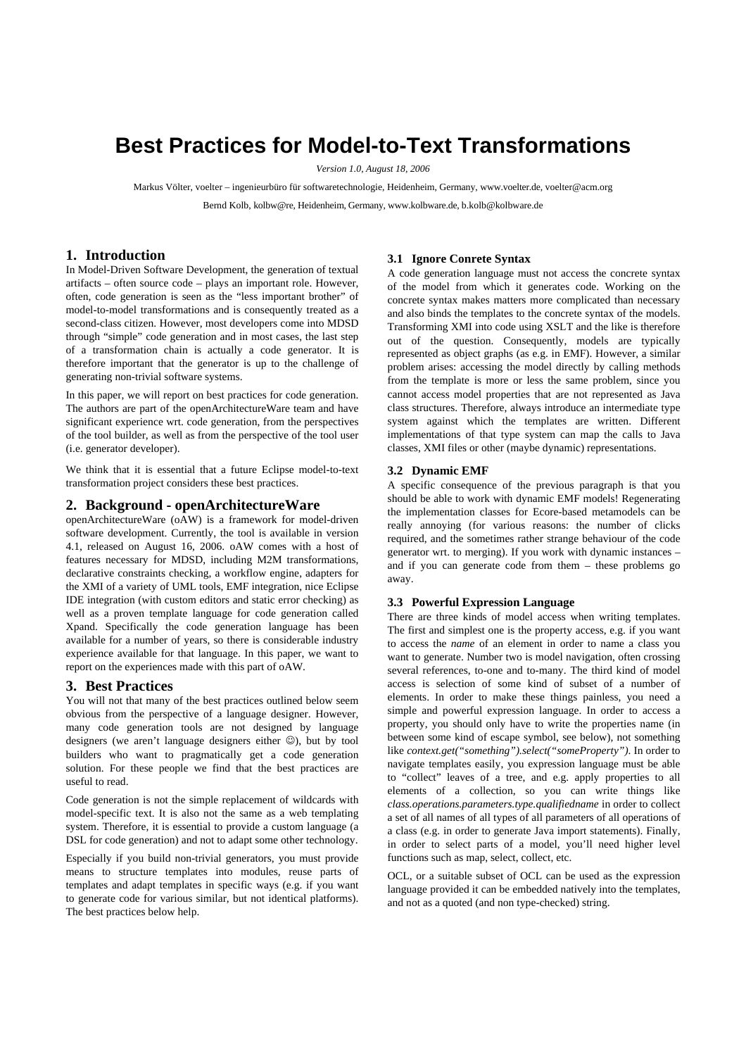# **Best Practices for Model-to-Text Transformations**

*Version 1.0, August 18, 2006* 

Markus Völter, voelter – ingenieurbüro für softwaretechnologie, Heidenheim, Germany, www.voelter.de, voelter@acm.org Bernd Kolb, kolbw@re, Heidenheim, Germany, www.kolbware.de, b.kolb@kolbware.de

# **1. Introduction**

In Model-Driven Software Development, the generation of textual artifacts – often source code – plays an important role. However, often, code generation is seen as the "less important brother" of model-to-model transformations and is consequently treated as a second-class citizen. However, most developers come into MDSD through "simple" code generation and in most cases, the last step of a transformation chain is actually a code generator. It is therefore important that the generator is up to the challenge of generating non-trivial software systems.

In this paper, we will report on best practices for code generation. The authors are part of the openArchitectureWare team and have significant experience wrt. code generation, from the perspectives of the tool builder, as well as from the perspective of the tool user (i.e. generator developer).

We think that it is essential that a future Eclipse model-to-text transformation project considers these best practices.

## **2. Background - openArchitectureWare**

openArchitectureWare (oAW) is a framework for model-driven software development. Currently, the tool is available in version 4.1, released on August 16, 2006. oAW comes with a host of features necessary for MDSD, including M2M transformations, declarative constraints checking, a workflow engine, adapters for the XMI of a variety of UML tools, EMF integration, nice Eclipse IDE integration (with custom editors and static error checking) as well as a proven template language for code generation called Xpand. Specifically the code generation language has been available for a number of years, so there is considerable industry experience available for that language. In this paper, we want to report on the experiences made with this part of oAW.

## **3. Best Practices**

You will not that many of the best practices outlined below seem obvious from the perspective of a language designer. However, many code generation tools are not designed by language designers (we aren't language designers either ☺), but by tool builders who want to pragmatically get a code generation solution. For these people we find that the best practices are useful to read.

Code generation is not the simple replacement of wildcards with model-specific text. It is also not the same as a web templating system. Therefore, it is essential to provide a custom language (a DSL for code generation) and not to adapt some other technology.

Especially if you build non-trivial generators, you must provide means to structure templates into modules, reuse parts of templates and adapt templates in specific ways (e.g. if you want to generate code for various similar, but not identical platforms). The best practices below help.

## **3.1 Ignore Conrete Syntax**

A code generation language must not access the concrete syntax of the model from which it generates code. Working on the concrete syntax makes matters more complicated than necessary and also binds the templates to the concrete syntax of the models. Transforming XMI into code using XSLT and the like is therefore out of the question. Consequently, models are typically represented as object graphs (as e.g. in EMF). However, a similar problem arises: accessing the model directly by calling methods from the template is more or less the same problem, since you cannot access model properties that are not represented as Java class structures. Therefore, always introduce an intermediate type system against which the templates are written. Different implementations of that type system can map the calls to Java classes, XMI files or other (maybe dynamic) representations.

#### **3.2 Dynamic EMF**

A specific consequence of the previous paragraph is that you should be able to work with dynamic EMF models! Regenerating the implementation classes for Ecore-based metamodels can be really annoying (for various reasons: the number of clicks required, and the sometimes rather strange behaviour of the code generator wrt. to merging). If you work with dynamic instances – and if you can generate code from them – these problems go away.

## **3.3 Powerful Expression Language**

There are three kinds of model access when writing templates. The first and simplest one is the property access, e.g. if you want to access the *name* of an element in order to name a class you want to generate. Number two is model navigation, often crossing several references, to-one and to-many. The third kind of model access is selection of some kind of subset of a number of elements. In order to make these things painless, you need a simple and powerful expression language. In order to access a property, you should only have to write the properties name (in between some kind of escape symbol, see below), not something like *context.get("something").select("someProperty")*. In order to navigate templates easily, you expression language must be able to "collect" leaves of a tree, and e.g. apply properties to all elements of a collection, so you can write things like *class.operations.parameters.type.qualifiedname* in order to collect a set of all names of all types of all parameters of all operations of a class (e.g. in order to generate Java import statements). Finally, in order to select parts of a model, you'll need higher level functions such as map, select, collect, etc.

OCL, or a suitable subset of OCL can be used as the expression language provided it can be embedded natively into the templates, and not as a quoted (and non type-checked) string.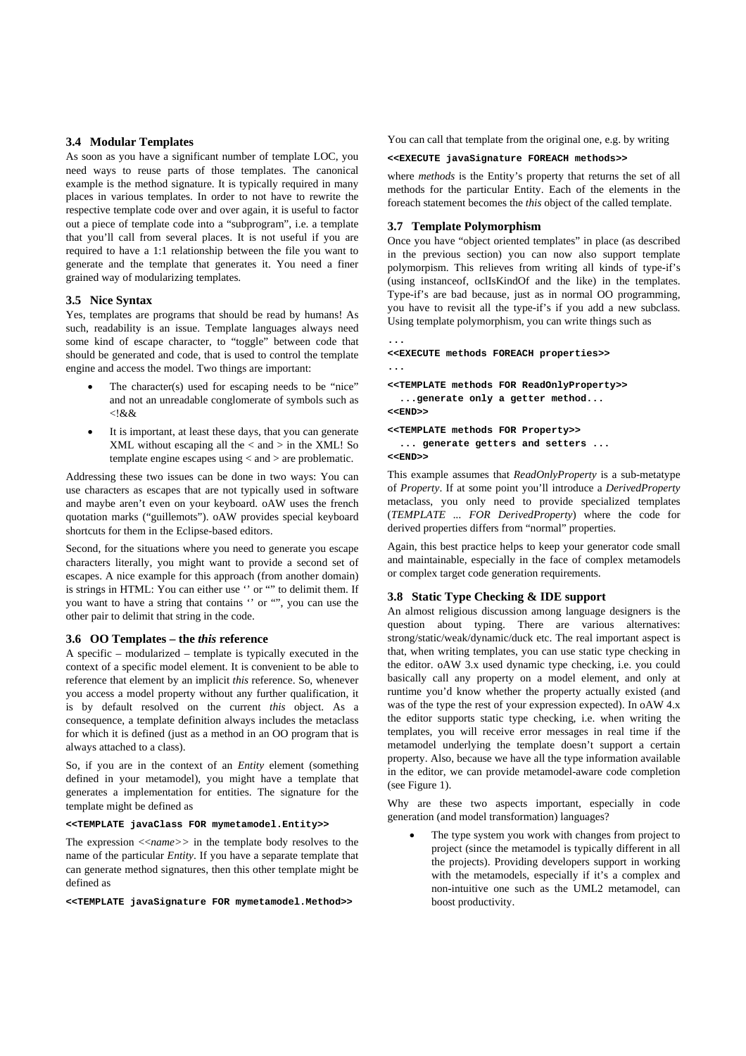## **3.4 Modular Templates**

As soon as you have a significant number of template LOC, you need ways to reuse parts of those templates. The canonical example is the method signature. It is typically required in many places in various templates. In order to not have to rewrite the respective template code over and over again, it is useful to factor out a piece of template code into a "subprogram", i.e. a template that you'll call from several places. It is not useful if you are required to have a 1:1 relationship between the file you want to generate and the template that generates it. You need a finer grained way of modularizing templates.

#### **3.5 Nice Syntax**

Yes, templates are programs that should be read by humans! As such, readability is an issue. Template languages always need some kind of escape character, to "toggle" between code that should be generated and code, that is used to control the template engine and access the model. Two things are important:

- The character $(s)$  used for escaping needs to be "nice" and not an unreadable conglomerate of symbols such as  $<$ ! $&&$
- It is important, at least these days, that you can generate  $XML$  without escaping all the  $<$  and  $>$  in the XML! So template engine escapes using < and > are problematic.

Addressing these two issues can be done in two ways: You can use characters as escapes that are not typically used in software and maybe aren't even on your keyboard. oAW uses the french quotation marks ("guillemots"). oAW provides special keyboard shortcuts for them in the Eclipse-based editors.

Second, for the situations where you need to generate you escape characters literally, you might want to provide a second set of escapes. A nice example for this approach (from another domain) is strings in HTML: You can either use '' or "" to delimit them. If you want to have a string that contains '' or "", you can use the other pair to delimit that string in the code.

## **3.6 OO Templates – the** *this* **reference**

A specific – modularized – template is typically executed in the context of a specific model element. It is convenient to be able to reference that element by an implicit *this* reference. So, whenever you access a model property without any further qualification, it is by default resolved on the current *this* object. As a consequence, a template definition always includes the metaclass for which it is defined (just as a method in an OO program that is always attached to a class).

So, if you are in the context of an *Entity* element (something defined in your metamodel), you might have a template that generates a implementation for entities. The signature for the template might be defined as

## **<<TEMPLATE javaClass FOR mymetamodel.Entity>>**

The expression <<*name>>* in the template body resolves to the name of the particular *Entity*. If you have a separate template that can generate method signatures, then this other template might be defined as

**<<TEMPLATE javaSignature FOR mymetamodel.Method>>** 

You can call that template from the original one, e.g. by writing

#### **<<EXECUTE javaSignature FOREACH methods>>**

where *methods* is the Entity's property that returns the set of all methods for the particular Entity. Each of the elements in the foreach statement becomes the *this* object of the called template.

## **3.7 Template Polymorphism**

**...** 

Once you have "object oriented templates" in place (as described in the previous section) you can now also support template polymorpism. This relieves from writing all kinds of type-if's (using instanceof, oclIsKindOf and the like) in the templates. Type-if's are bad because, just as in normal OO programming, you have to revisit all the type-if's if you add a new subclass. Using template polymorphism, you can write things such as

```
<<EXECUTE methods FOREACH properties>> 
... 
<<TEMPLATE methods FOR ReadOnlyProperty>> 
   ...generate only a getter method... 
<<END>> 
<<TEMPLATE methods FOR Property>> 
   ... generate getters and setters ... 
<<END>>
```
This example assumes that *ReadOnlyProperty* is a sub-metatype of *Property*. If at some point you'll introduce a *DerivedProperty* metaclass, you only need to provide specialized templates (*TEMPLATE ... FOR DerivedProperty*) where the code for derived properties differs from "normal" properties.

Again, this best practice helps to keep your generator code small and maintainable, especially in the face of complex metamodels or complex target code generation requirements.

#### **3.8 Static Type Checking & IDE support**

An almost religious discussion among language designers is the question about typing. There are various alternatives: strong/static/weak/dynamic/duck etc. The real important aspect is that, when writing templates, you can use static type checking in the editor. oAW 3.x used dynamic type checking, i.e. you could basically call any property on a model element, and only at runtime you'd know whether the property actually existed (and was of the type the rest of your expression expected). In oAW 4.x the editor supports static type checking, i.e. when writing the templates, you will receive error messages in real time if the metamodel underlying the template doesn't support a certain property. Also, because we have all the type information available in the editor, we can provide metamodel-aware code completion (see Figure 1).

Why are these two aspects important, especially in code generation (and model transformation) languages?

The type system you work with changes from project to project (since the metamodel is typically different in all the projects). Providing developers support in working with the metamodels, especially if it's a complex and non-intuitive one such as the UML2 metamodel, can boost productivity.